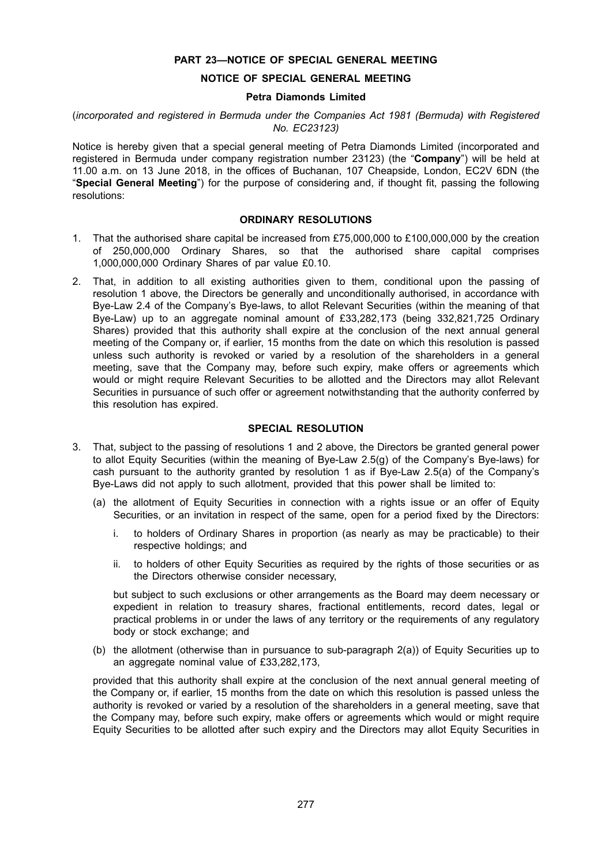# **PART 23—NOTICE OF SPECIAL GENERAL MEETING**

# **NOTICE OF SPECIAL GENERAL MEETING**

#### **Petra Diamonds Limited**

## (*incorporated and registered in Bermuda under the Companies Act 1981 (Bermuda) with Registered No. EC23123)*

Notice is hereby given that a special general meeting of Petra Diamonds Limited (incorporated and registered in Bermuda under company registration number 23123) (the "**Company**") will be held at 11.00 a.m. on 13 June 2018, in the offices of Buchanan, 107 Cheapside, London, EC2V 6DN (the "**Special General Meeting**") for the purpose of considering and, if thought fit, passing the following resolutions:

## **ORDINARY RESOLUTIONS**

- 1. That the authorised share capital be increased from £75,000,000 to £100,000,000 by the creation of 250,000,000 Ordinary Shares, so that the authorised share capital comprises 1,000,000,000 Ordinary Shares of par value £0.10.
- 2. That, in addition to all existing authorities given to them, conditional upon the passing of resolution 1 above, the Directors be generally and unconditionally authorised, in accordance with Bye-Law 2.4 of the Company's Bye-laws, to allot Relevant Securities (within the meaning of that Bye-Law) up to an aggregate nominal amount of £33,282,173 (being 332,821,725 Ordinary Shares) provided that this authority shall expire at the conclusion of the next annual general meeting of the Company or, if earlier, 15 months from the date on which this resolution is passed unless such authority is revoked or varied by a resolution of the shareholders in a general meeting, save that the Company may, before such expiry, make offers or agreements which would or might require Relevant Securities to be allotted and the Directors may allot Relevant Securities in pursuance of such offer or agreement notwithstanding that the authority conferred by this resolution has expired.

# **SPECIAL RESOLUTION**

- 3. That, subject to the passing of resolutions 1 and 2 above, the Directors be granted general power to allot Equity Securities (within the meaning of Bye-Law 2.5(g) of the Company's Bye-laws) for cash pursuant to the authority granted by resolution 1 as if Bye-Law 2.5(a) of the Company's Bye-Laws did not apply to such allotment, provided that this power shall be limited to:
	- (a) the allotment of Equity Securities in connection with a rights issue or an offer of Equity Securities, or an invitation in respect of the same, open for a period fixed by the Directors:
		- i. to holders of Ordinary Shares in proportion (as nearly as may be practicable) to their respective holdings; and
		- ii. to holders of other Equity Securities as required by the rights of those securities or as the Directors otherwise consider necessary,

but subject to such exclusions or other arrangements as the Board may deem necessary or expedient in relation to treasury shares, fractional entitlements, record dates, legal or practical problems in or under the laws of any territory or the requirements of any regulatory body or stock exchange; and

(b) the allotment (otherwise than in pursuance to sub-paragraph 2(a)) of Equity Securities up to an aggregate nominal value of £33,282,173,

provided that this authority shall expire at the conclusion of the next annual general meeting of the Company or, if earlier, 15 months from the date on which this resolution is passed unless the authority is revoked or varied by a resolution of the shareholders in a general meeting, save that the Company may, before such expiry, make offers or agreements which would or might require Equity Securities to be allotted after such expiry and the Directors may allot Equity Securities in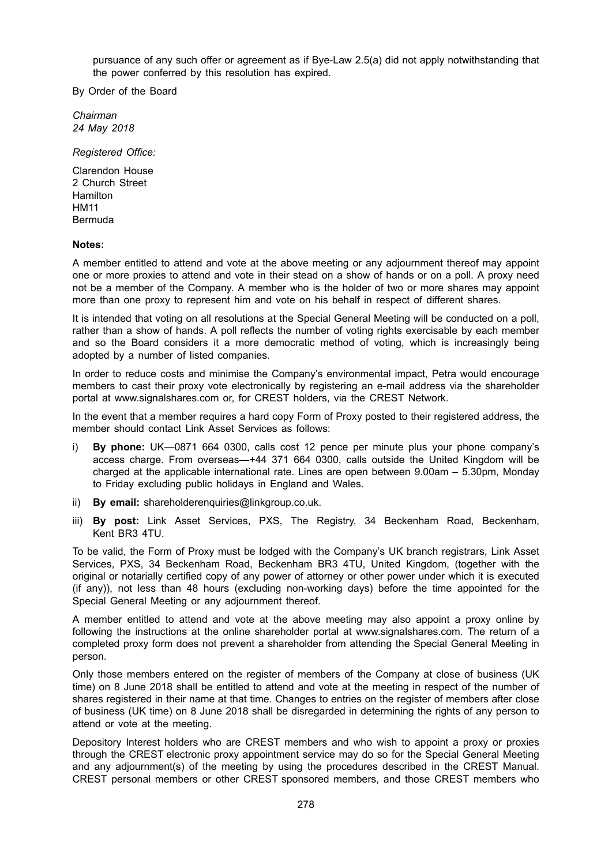pursuance of any such offer or agreement as if Bye-Law 2.5(a) did not apply notwithstanding that the power conferred by this resolution has expired.

By Order of the Board

*Chairman 24 May 2018*

*Registered Office:*

Clarendon House 2 Church Street **Hamilton** HM11 Bermuda

#### **Notes:**

A member entitled to attend and vote at the above meeting or any adjournment thereof may appoint one or more proxies to attend and vote in their stead on a show of hands or on a poll. A proxy need not be a member of the Company. A member who is the holder of two or more shares may appoint more than one proxy to represent him and vote on his behalf in respect of different shares.

It is intended that voting on all resolutions at the Special General Meeting will be conducted on a poll, rather than a show of hands. A poll reflects the number of voting rights exercisable by each member and so the Board considers it a more democratic method of voting, which is increasingly being adopted by a number of listed companies.

In order to reduce costs and minimise the Company's environmental impact, Petra would encourage members to cast their proxy vote electronically by registering an e-mail address via the shareholder portal at www.signalshares.com or, for CREST holders, via the CREST Network.

In the event that a member requires a hard copy Form of Proxy posted to their registered address, the member should contact Link Asset Services as follows:

- i) **By phone:** UK—0871 664 0300, calls cost 12 pence per minute plus your phone company's access charge. From overseas—+44 371 664 0300, calls outside the United Kingdom will be charged at the applicable international rate. Lines are open between 9.00am – 5.30pm, Monday to Friday excluding public holidays in England and Wales.
- ii) **By email:** shareholderenquiries@linkgroup.co.uk.
- iii) **By post:** Link Asset Services, PXS, The Registry, 34 Beckenham Road, Beckenham, Kent BR3 4TU.

To be valid, the Form of Proxy must be lodged with the Company's UK branch registrars, Link Asset Services, PXS, 34 Beckenham Road, Beckenham BR3 4TU, United Kingdom, (together with the original or notarially certified copy of any power of attorney or other power under which it is executed (if any)), not less than 48 hours (excluding non-working days) before the time appointed for the Special General Meeting or any adjournment thereof.

A member entitled to attend and vote at the above meeting may also appoint a proxy online by following the instructions at the online shareholder portal at www.signalshares.com. The return of a completed proxy form does not prevent a shareholder from attending the Special General Meeting in person.

Only those members entered on the register of members of the Company at close of business (UK time) on 8 June 2018 shall be entitled to attend and vote at the meeting in respect of the number of shares registered in their name at that time. Changes to entries on the register of members after close of business (UK time) on 8 June 2018 shall be disregarded in determining the rights of any person to attend or vote at the meeting.

Depository Interest holders who are CREST members and who wish to appoint a proxy or proxies through the CREST electronic proxy appointment service may do so for the Special General Meeting and any adjournment(s) of the meeting by using the procedures described in the CREST Manual. CREST personal members or other CREST sponsored members, and those CREST members who